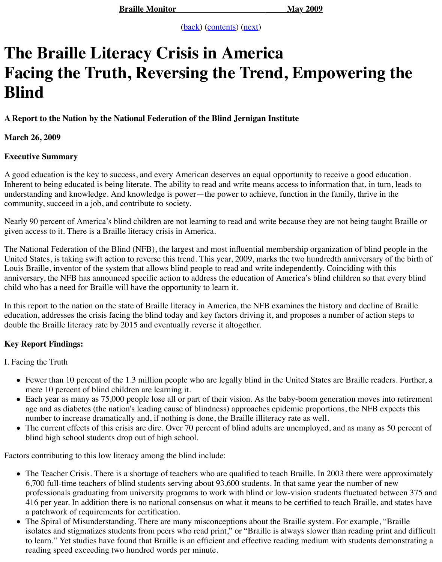#### **March 26, 2009**

# **Executive Summary**

A good education is the key to success, and every A[meric](https://nfb.org/Images/nfb/Publications/bm/bm09/bm0905/bm090503.htm)a[n deserve](https://nfb.org/Images/nfb/Publications/bm/bm09/bm0905/bm0905tc.htm)s [an eq](https://nfb.org/Images/nfb/Publications/bm/bm09/bm0905/bm090505.htm)ual opportunity to represent Inherent to being educated is being literate. The ability to read and write means access to information that, in that, in that, in that, in that, in that, in that, in turn, leads to that, in turn, leads to that, in turn, l understanding and knowledge. And knowledge is power—the power to achieve, function in th community, succeed in a job, and contribute to society.

Nearly 90 percent of America's blind children are not learning to read and write because they a given access to it. There is a Braille literacy crisis in America.

The National Federation of the Blind (NFB), the largest and most influential membership organization of the Blind (NFB), the largest and most influential membership organization of the Blind people in the National people i United States, is taking swift action to reverse this trend. This year, 2009, marks the two hundred Louis Braille, inventor of the system that allows blind people to read and write independently. anniversary, the NFB has announced specific action to address the education of America's blin child who has a need for Braille will have the opportunity to learn it.

In this report to the nation on the state of Braille literacy in America, the NFB examines the hi education, addresses the crisis facing the blind today and key factors driving it, and proposes a double the Braille literacy rate by 2015 and eventually reverse it altogether.

# **Key Report Findings:**

I. Facing the Truth

- $\bullet$  Fewer than 10 percent of the 1.3 million people who are legally blind in the United State mere 10 percent of blind children are learning it.
- Each year as many as 75,000 people lose all or part of their vision. As the baby-boom go age and as diabetes (the nation's leading cause of blindness) approaches epidemic proportions, the NFB expects the NFB expects the NFB expects that number to increase dramatically and, if nothing is done, the Braille illiteracy rate as well.
- The current effects of this crisis are dire. Over 70 percent of blind adults are unemployed blind high school students drop out of high school.

Factors contributing to this low literacy among the blind include:

- The Teacher Crisis. There is a shortage of teachers who are qualified to teach Braille. In 6,700 full-time teachers of blind students serving about  $93,600$  students. In that same year professionals graduating from university programs to work with blind or low-vision stud 416 per year. In addition there is no national consensus on what it means to be certified to a patchwork of requirements for certification.
- The Spiral of Misunderstanding. There are many misconceptions about the Braille system. isolates and stigmatizes students from peers who read print," or "Braille is always slowe to learn." Yet studies have found that Braille is an efficient and effective reading medium reading speed exceeding two hundred words per minute.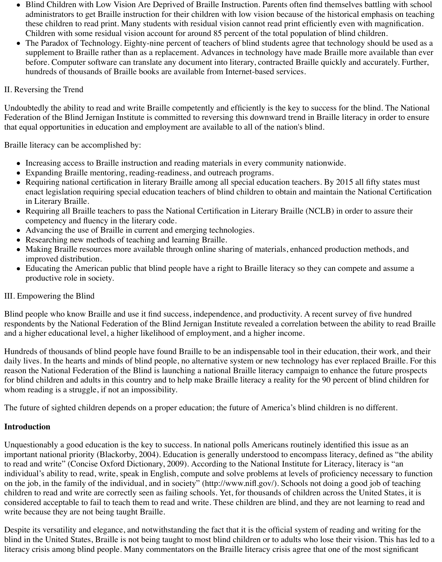- Blind Children with Low Vision Are Deprived of Braille Instruction. Parents often find themselves battling with school administrators to get Braille instruction for their children with low vision because of the historical emphasis on teaching these children to read print. Many students with residual vision cannot read print efficiently even with magnification. Children with some residual vision account for around 85 percent of the total population of blind children.
- The Paradox of Technology. Eighty-nine percent of teachers of blind students agree that technology should be used as a supplement to Braille rather than as a replacement. Advances in technology have made Braille more available than ever before. Computer software can translate any document into literary, contracted Braille quickly and accurately. Further, hundreds of thousands of Braille books are available from Internet-based services.

## II. Reversing the Trend

Undoubtedly the ability to read and write Braille competently and efficiently is the key to success for the blind. The National Federation of the Blind Jernigan Institute is committed to reversing this downward trend in Braille literacy in order to ensure that equal opportunities in education and employment are available to all of the nation's blind.

Braille literacy can be accomplished by:

- Increasing access to Braille instruction and reading materials in every community nationwide.
- Expanding Braille mentoring, reading-readiness, and outreach programs.
- Requiring national certification in literary Braille among all special education teachers. By 2015 all fifty states must enact legislation requiring special education teachers of blind children to obtain and maintain the National Certification in Literary Braille.
- Requiring all Braille teachers to pass the National Certification in Literary Braille (NCLB) in order to assure their competency and fluency in the literary code.
- Advancing the use of Braille in current and emerging technologies.
- Researching new methods of teaching and learning Braille.
- Making Braille resources more available through online sharing of materials, enhanced production methods, and improved distribution.
- Educating the American public that blind people have a right to Braille literacy so they can compete and assume a productive role in society.

## III. Empowering the Blind

Blind people who know Braille and use it find success, independence, and productivity. A recent survey of five hundred respondents by the National Federation of the Blind Jernigan Institute revealed a correlation between the ability to read Braille and a higher educational level, a higher likelihood of employment, and a higher income.

Hundreds of thousands of blind people have found Braille to be an indispensable tool in their education, their work, and their daily lives. In the hearts and minds of blind people, no alternative system or new technology has ever replaced Braille. For this reason the National Federation of the Blind is launching a national Braille literacy campaign to enhance the future prospects for blind children and adults in this country and to help make Braille literacy a reality for the 90 percent of blind children for whom reading is a struggle, if not an impossibility.

The future of sighted children depends on a proper education; the future of America's blind children is no different.

#### **Introduction**

Unquestionably a good education is the key to success. In national polls Americans routinely identified this issue as an important national priority (Blackorby, 2004). Education is generally understood to encompass literacy, defined as "the ability to read and write" (Concise Oxford Dictionary, 2009). According to the National Institute for Literacy, literacy is "an individual's ability to read, write, speak in English, compute and solve problems at levels of proficiency necessary to function on the job, in the family of the individual, and in society" (http://www.nifl.gov/). Schools not doing a good job of teaching children to read and write are correctly seen as failing schools. Yet, for thousands of children across the United States, it is considered acceptable to fail to teach them to read and write. These children are blind, and they are not learning to read and write because they are not being taught Braille.

Despite its versatility and elegance, and notwithstanding the fact that it is the official system of reading and writing for the blind in the United States, Braille is not being taught to most blind children or to adults who lose their vision. This has led to a literacy crisis among blind people. Many commentators on the Braille literacy crisis agree that one of the most significant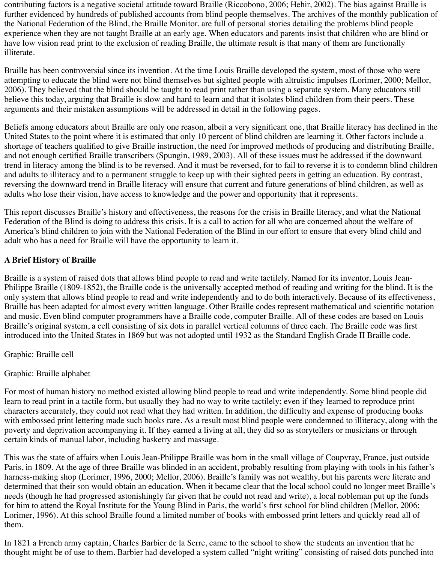contributing factors is a negative societal attitude toward Braille (Riccobono, 2006; Hehir, 2002). The bias against Braille is further evidenced by hundreds of published accounts from blind people themselves. The archives of the monthly publication of the National Federation of the Blind, the Braille Monitor, are full of personal stories detailing the problems blind people experience when they are not taught Braille at an early age. When educators and parents insist that children who are blind or have low vision read print to the exclusion of reading Braille, the ultimate result is that many of them are functionally illiterate.

Braille has been controversial since its invention. At the time Louis Braille developed the system, most of those who were attempting to educate the blind were not blind themselves but sighted people with altruistic impulses (Lorimer, 2000; Mellor, 2006). They believed that the blind should be taught to read print rather than using a separate system. Many educators still believe this today, arguing that Braille is slow and hard to learn and that it isolates blind children from their peers. These arguments and their mistaken assumptions will be addressed in detail in the following pages.

Beliefs among educators about Braille are only one reason, albeit a very significant one, that Braille literacy has declined in the United States to the point where it is estimated that only 10 percent of blind children are learning it. Other factors include a shortage of teachers qualified to give Braille instruction, the need for improved methods of producing and distributing Braille, and not enough certified Braille transcribers (Spungin, 1989, 2003). All of these issues must be addressed if the downward trend in literacy among the blind is to be reversed. And it must be reversed, for to fail to reverse it is to condemn blind children and adults to illiteracy and to a permanent struggle to keep up with their sighted peers in getting an education. By contrast, reversing the downward trend in Braille literacy will ensure that current and future generations of blind children, as well as adults who lose their vision, have access to knowledge and the power and opportunity that it represents.

This report discusses Braille's history and effectiveness, the reasons for the crisis in Braille literacy, and what the National Federation of the Blind is doing to address this crisis. It is a call to action for all who are concerned about the welfare of America's blind children to join with the National Federation of the Blind in our effort to ensure that every blind child and adult who has a need for Braille will have the opportunity to learn it.

# **A Brief History of Braille**

Braille is a system of raised dots that allows blind people to read and write tactilely. Named for its inventor, Louis Jean-Philippe Braille (1809-1852), the Braille code is the universally accepted method of reading and writing for the blind. It is the only system that allows blind people to read and write independently and to do both interactively. Because of its effectiveness, Braille has been adapted for almost every written language. Other Braille codes represent mathematical and scientific notation and music. Even blind computer programmers have a Braille code, computer Braille. All of these codes are based on Louis Braille's original system, a cell consisting of six dots in parallel vertical columns of three each. The Braille code was first introduced into the United States in 1869 but was not adopted until 1932 as the Standard English Grade II Braille code.

Graphic: Braille cell

Graphic: Braille alphabet

For most of human history no method existed allowing blind people to read and write independently. Some blind people did learn to read print in a tactile form, but usually they had no way to write tactilely; even if they learned to reproduce print characters accurately, they could not read what they had written. In addition, the difficulty and expense of producing books with embossed print lettering made such books rare. As a result most blind people were condemned to illiteracy, along with the poverty and deprivation accompanying it. If they earned a living at all, they did so as storytellers or musicians or through certain kinds of manual labor, including basketry and massage.

This was the state of affairs when Louis Jean-Philippe Braille was born in the small village of Coupvray, France, just outside Paris, in 1809. At the age of three Braille was blinded in an accident, probably resulting from playing with tools in his father's harness-making shop (Lorimer, 1996, 2000; Mellor, 2006). Braille's family was not wealthy, but his parents were literate and determined that their son would obtain an education. When it became clear that the local school could no longer meet Braille's needs (though he had progressed astonishingly far given that he could not read and write), a local nobleman put up the funds for him to attend the Royal Institute for the Young Blind in Paris, the world's first school for blind children (Mellor, 2006; Lorimer, 1996). At this school Braille found a limited number of books with embossed print letters and quickly read all of them.

In 1821 a French army captain, Charles Barbier de la Serre, came to the school to show the students an invention that he thought might be of use to them. Barbier had developed a system called "night writing" consisting of raised dots punched into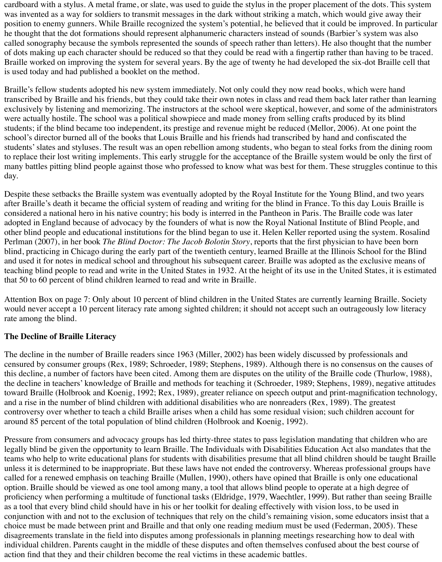cardboard with a stylus. A metal frame, or slate, was used to guide the stylus in the proper placement of the dots. This system was invented as a way for soldiers to transmit messages in the dark without striking a match, which would give away their position to enemy gunners. While Braille recognized the system's potential, he believed that it could be improved. In particular he thought that the dot formations should represent alphanumeric characters instead of sounds (Barbier's system was also called sonography because the symbols represented the sounds of speech rather than letters). He also thought that the number of dots making up each character should be reduced so that they could be read with a fingertip rather than having to be traced. Braille worked on improving the system for several years. By the age of twenty he had developed the six-dot Braille cell that is used today and had published a booklet on the method.

Braille's fellow students adopted his new system immediately. Not only could they now read books, which were hand transcribed by Braille and his friends, but they could take their own notes in class and read them back later rather than learning exclusively by listening and memorizing. The instructors at the school were skeptical, however, and some of the administrators were actually hostile. The school was a political showpiece and made money from selling crafts produced by its blind students; if the blind became too independent, its prestige and revenue might be reduced (Mellor, 2006). At one point the school's director burned all of the books that Louis Braille and his friends had transcribed by hand and confiscated the students' slates and styluses. The result was an open rebellion among students, who began to steal forks from the dining room to replace their lost writing implements. This early struggle for the acceptance of the Braille system would be only the first of many battles pitting blind people against those who professed to know what was best for them. These struggles continue to this day.

Despite these setbacks the Braille system was eventually adopted by the Royal Institute for the Young Blind, and two years after Braille's death it became the official system of reading and writing for the blind in France. To this day Louis Braille is considered a national hero in his native country; his body is interred in the Pantheon in Paris. The Braille code was later adopted in England because of advocacy by the founders of what is now the Royal National Institute of Blind People, and other blind people and educational institutions for the blind began to use it. Helen Keller reported using the system. Rosalind Perlman (2007), in her book *The Blind Doctor: The Jacob Bolotin Story*, reports that the first physician to have been born blind, practicing in Chicago during the early part of the twentieth century, learned Braille at the Illinois School for the Blind and used it for notes in medical school and throughout his subsequent career. Braille was adopted as the exclusive means of teaching blind people to read and write in the United States in 1932. At the height of its use in the United States, it is estimated that 50 to 60 percent of blind children learned to read and write in Braille.

Attention Box on page 7: Only about 10 percent of blind children in the United States are currently learning Braille. Society would never accept a 10 percent literacy rate among sighted children; it should not accept such an outrageously low literacy rate among the blind.

## **The Decline of Braille Literacy**

The decline in the number of Braille readers since 1963 (Miller, 2002) has been widely discussed by professionals and censured by consumer groups (Rex, 1989; Schroeder, 1989; Stephens, 1989). Although there is no consensus on the causes of this decline, a number of factors have been cited. Among them are disputes on the utility of the Braille code (Thurlow, 1988), the decline in teachers' knowledge of Braille and methods for teaching it (Schroeder, 1989; Stephens, 1989), negative attitudes toward Braille (Holbrook and Koenig, 1992; Rex, 1989), greater reliance on speech output and print-magnification technology, and a rise in the number of blind children with additional disabilities who are nonreaders (Rex, 1989). The greatest controversy over whether to teach a child Braille arises when a child has some residual vision; such children account for around 85 percent of the total population of blind children (Holbrook and Koenig, 1992).

Pressure from consumers and advocacy groups has led thirty-three states to pass legislation mandating that children who are legally blind be given the opportunity to learn Braille. The Individuals with Disabilities Education Act also mandates that the teams who help to write educational plans for students with disabilities presume that all blind children should be taught Braille unless it is determined to be inappropriate. But these laws have not ended the controversy. Whereas professional groups have called for a renewed emphasis on teaching Braille (Mullen, 1990), others have opined that Braille is only one educational option. Braille should be viewed as one tool among many, a tool that allows blind people to operate at a high degree of proficiency when performing a multitude of functional tasks (Eldridge, 1979, Waechtler, 1999). But rather than seeing Braille as a tool that every blind child should have in his or her toolkit for dealing effectively with vision loss, to be used in conjunction with and not to the exclusion of techniques that rely on the child's remaining vision, some educators insist that a choice must be made between print and Braille and that only one reading medium must be used (Federman, 2005). These disagreements translate in the field into disputes among professionals in planning meetings researching how to deal with individual children. Parents caught in the middle of these disputes and often themselves confused about the best course of action find that they and their children become the real victims in these academic battles.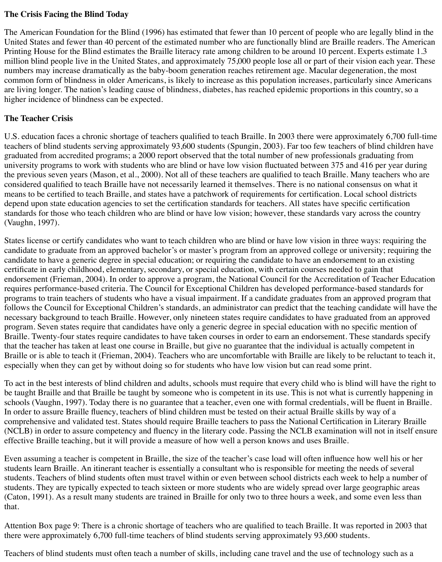#### **The Crisis Facing the Blind Today**

The American Foundation for the Blind (1996) has estimated that fewer than 10 percent of people who are legally blind in the United States and fewer than 40 percent of the estimated number who are functionally blind are Braille readers. The American Printing House for the Blind estimates the Braille literacy rate among children to be around 10 percent. Experts estimate 1.3 million blind people live in the United States, and approximately 75,000 people lose all or part of their vision each year. These numbers may increase dramatically as the baby-boom generation reaches retirement age. Macular degeneration, the most common form of blindness in older Americans, is likely to increase as this population increases, particularly since Americans are living longer. The nation's leading cause of blindness, diabetes, has reached epidemic proportions in this country, so a higher incidence of blindness can be expected.

# **The Teacher Crisis**

U.S. education faces a chronic shortage of teachers qualified to teach Braille. In 2003 there were approximately 6,700 full-time teachers of blind students serving approximately 93,600 students (Spungin, 2003). Far too few teachers of blind children have graduated from accredited programs; a 2000 report observed that the total number of new professionals graduating from university programs to work with students who are blind or have low vision fluctuated between 375 and 416 per year during the previous seven years (Mason, et al., 2000). Not all of these teachers are qualified to teach Braille. Many teachers who are considered qualified to teach Braille have not necessarily learned it themselves. There is no national consensus on what it means to be certified to teach Braille, and states have a patchwork of requirements for certification. Local school districts depend upon state education agencies to set the certification standards for teachers. All states have specific certification standards for those who teach children who are blind or have low vision; however, these standards vary across the country (Vaughn, 1997).

States license or certify candidates who want to teach children who are blind or have low vision in three ways: requiring the candidate to graduate from an approved bachelor's or master's program from an approved college or university; requiring the candidate to have a generic degree in special education; or requiring the candidate to have an endorsement to an existing certificate in early childhood, elementary, secondary, or special education, with certain courses needed to gain that endorsement (Frieman, 2004). In order to approve a program, the National Council for the Accreditation of Teacher Education requires performance-based criteria. The Council for Exceptional Children has developed performance-based standards for programs to train teachers of students who have a visual impairment. If a candidate graduates from an approved program that follows the Council for Exceptional Children's standards, an administrator can predict that the teaching candidate will have the necessary background to teach Braille. However, only nineteen states require candidates to have graduated from an approved program. Seven states require that candidates have only a generic degree in special education with no specific mention of Braille. Twenty-four states require candidates to have taken courses in order to earn an endorsement. These standards specify that the teacher has taken at least one course in Braille, but give no guarantee that the individual is actually competent in Braille or is able to teach it (Frieman, 2004). Teachers who are uncomfortable with Braille are likely to be reluctant to teach it, especially when they can get by without doing so for students who have low vision but can read some print.

To act in the best interests of blind children and adults, schools must require that every child who is blind will have the right to be taught Braille and that Braille be taught by someone who is competent in its use. This is not what is currently happening in schools (Vaughn, 1997). Today there is no guarantee that a teacher, even one with formal credentials, will be fluent in Braille. In order to assure Braille fluency, teachers of blind children must be tested on their actual Braille skills by way of a comprehensive and validated test. States should require Braille teachers to pass the National Certification in Literary Braille (NCLB) in order to assure competency and fluency in the literary code. Passing the NCLB examination will not in itself ensure effective Braille teaching, but it will provide a measure of how well a person knows and uses Braille.

Even assuming a teacher is competent in Braille, the size of the teacher's case load will often influence how well his or her students learn Braille. An itinerant teacher is essentially a consultant who is responsible for meeting the needs of several students. Teachers of blind students often must travel within or even between school districts each week to help a number of students. They are typically expected to teach sixteen or more students who are widely spread over large geographic areas (Caton, 1991). As a result many students are trained in Braille for only two to three hours a week, and some even less than that.

Attention Box page 9: There is a chronic shortage of teachers who are qualified to teach Braille. It was reported in 2003 that there were approximately 6,700 full-time teachers of blind students serving approximately 93,600 students.

Teachers of blind students must often teach a number of skills, including cane travel and the use of technology such as a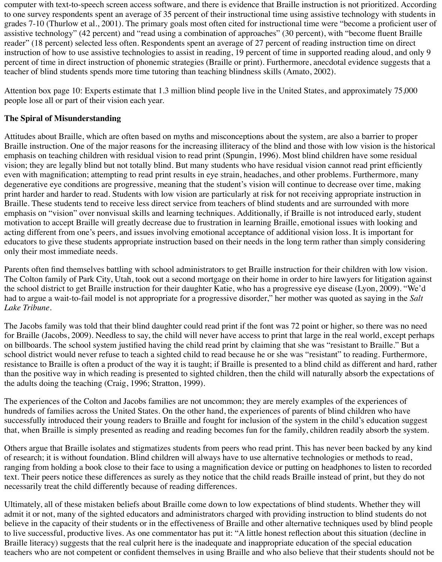computer with text-to-speech screen access software, and there is evidence that Braille instruction is not prioritized. According to one survey respondents spent an average of 35 percent of their instructional time using assistive technology with students in grades 7-10 (Thurlow et al., 2001). The primary goals most often cited for instructional time were "become a proficient user of assistive technology" (42 percent) and "read using a combination of approaches" (30 percent), with "become fluent Braille reader" (18 percent) selected less often. Respondents spent an average of 27 percent of reading instruction time on direct instruction of how to use assistive technologies to assist in reading, 19 percent of time in supported reading aloud, and only 9 percent of time in direct instruction of phonemic strategies (Braille or print). Furthermore, anecdotal evidence suggests that a teacher of blind students spends more time tutoring than teaching blindness skills (Amato, 2002).

Attention box page 10: Experts estimate that 1.3 million blind people live in the United States, and approximately 75,000 people lose all or part of their vision each year.

# **The Spiral of Misunderstanding**

Attitudes about Braille, which are often based on myths and misconceptions about the system, are also a barrier to proper Braille instruction. One of the major reasons for the increasing illiteracy of the blind and those with low vision is the historical emphasis on teaching children with residual vision to read print (Spungin, 1996). Most blind children have some residual vision; they are legally blind but not totally blind. But many students who have residual vision cannot read print efficiently even with magnification; attempting to read print results in eye strain, headaches, and other problems. Furthermore, many degenerative eye conditions are progressive, meaning that the student's vision will continue to decrease over time, making print harder and harder to read. Students with low vision are particularly at risk for not receiving appropriate instruction in Braille. These students tend to receive less direct service from teachers of blind students and are surrounded with more emphasis on "vision" over nonvisual skills and learning techniques. Additionally, if Braille is not introduced early, student motivation to accept Braille will greatly decrease due to frustration in learning Braille, emotional issues with looking and acting different from one's peers, and issues involving emotional acceptance of additional vision loss. It is important for educators to give these students appropriate instruction based on their needs in the long term rather than simply considering only their most immediate needs.

Parents often find themselves battling with school administrators to get Braille instruction for their children with low vision. The Colton family of Park City, Utah, took out a second mortgage on their home in order to hire lawyers for litigation against the school district to get Braille instruction for their daughter Katie, who has a progressive eye disease (Lyon, 2009). "We'd had to argue a wait-to-fail model is not appropriate for a progressive disorder," her mother was quoted as saying in the *Salt Lake Tribune*.

The Jacobs family was told that their blind daughter could read print if the font was 72 point or higher, so there was no need for Braille (Jacobs, 2009). Needless to say, the child will never have access to print that large in the real world, except perhaps on billboards. The school system justified having the child read print by claiming that she was "resistant to Braille." But a school district would never refuse to teach a sighted child to read because he or she was "resistant" to reading. Furthermore, resistance to Braille is often a product of the way it is taught; if Braille is presented to a blind child as different and hard, rather than the positive way in which reading is presented to sighted children, then the child will naturally absorb the expectations of the adults doing the teaching (Craig, 1996; Stratton, 1999).

The experiences of the Colton and Jacobs families are not uncommon; they are merely examples of the experiences of hundreds of families across the United States. On the other hand, the experiences of parents of blind children who have successfully introduced their young readers to Braille and fought for inclusion of the system in the child's education suggest that, when Braille is simply presented as reading and reading becomes fun for the family, children readily absorb the system.

Others argue that Braille isolates and stigmatizes students from peers who read print. This has never been backed by any kind of research; it is without foundation. Blind children will always have to use alternative technologies or methods to read, ranging from holding a book close to their face to using a magnification device or putting on headphones to listen to recorded text. Their peers notice these differences as surely as they notice that the child reads Braille instead of print, but they do not necessarily treat the child differently because of reading differences.

Ultimately, all of these mistaken beliefs about Braille come down to low expectations of blind students. Whether they will admit it or not, many of the sighted educators and administrators charged with providing instruction to blind students do not believe in the capacity of their students or in the effectiveness of Braille and other alternative techniques used by blind people to live successful, productive lives. As one commentator has put it: "A little honest reflection about this situation (decline in Braille literacy) suggests that the real culprit here is the inadequate and inappropriate education of the special education teachers who are not competent or confident themselves in using Braille and who also believe that their students should not be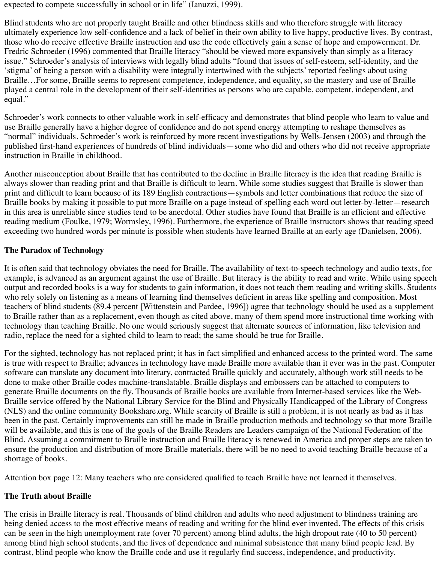expected to compete successfully in school or in life" (Ianuzzi, 1999).

Blind students who are not properly taught Braille and other blindness skills and who therefore struggle with literacy ultimately experience low self-confidence and a lack of belief in their own ability to live happy, productive lives. By contrast, those who do receive effective Braille instruction and use the code effectively gain a sense of hope and empowerment. Dr. Fredric Schroeder (1996) commented that Braille literacy "should be viewed more expansively than simply as a literacy issue." Schroeder's analysis of interviews with legally blind adults "found that issues of self-esteem, self-identity, and the 'stigma' of being a person with a disability were integrally intertwined with the subjects' reported feelings about using Braille…For some, Braille seems to represent competence, independence, and equality, so the mastery and use of Braille played a central role in the development of their self-identities as persons who are capable, competent, independent, and equal."

Schroeder's work connects to other valuable work in self-efficacy and demonstrates that blind people who learn to value and use Braille generally have a higher degree of confidence and do not spend energy attempting to reshape themselves as "normal" individuals. Schroeder's work is reinforced by more recent investigations by Wells-Jensen (2003) and through the published first-hand experiences of hundreds of blind individuals—some who did and others who did not receive appropriate instruction in Braille in childhood.

Another misconception about Braille that has contributed to the decline in Braille literacy is the idea that reading Braille is always slower than reading print and that Braille is difficult to learn. While some studies suggest that Braille is slower than print and difficult to learn because of its 189 English contractions—symbols and letter combinations that reduce the size of Braille books by making it possible to put more Braille on a page instead of spelling each word out letter-by-letter—research in this area is unreliable since studies tend to be anecdotal. Other studies have found that Braille is an efficient and effective reading medium (Foulke, 1979; Wormsley, 1996). Furthermore, the experience of Braille instructors shows that reading speed exceeding two hundred words per minute is possible when students have learned Braille at an early age (Danielsen, 2006).

# **The Paradox of Technology**

It is often said that technology obviates the need for Braille. The availability of text-to-speech technology and audio texts, for example, is advanced as an argument against the use of Braille. But literacy is the ability to read and write. While using speech output and recorded books is a way for students to gain information, it does not teach them reading and writing skills. Students who rely solely on listening as a means of learning find themselves deficient in areas like spelling and composition. Most teachers of blind students (89.4 percent [Wittenstein and Pardee, 1996]) agree that technology should be used as a supplement to Braille rather than as a replacement, even though as cited above, many of them spend more instructional time working with technology than teaching Braille. No one would seriously suggest that alternate sources of information, like television and radio, replace the need for a sighted child to learn to read; the same should be true for Braille.

For the sighted, technology has not replaced print; it has in fact simplified and enhanced access to the printed word. The same is true with respect to Braille; advances in technology have made Braille more available than it ever was in the past. Computer software can translate any document into literary, contracted Braille quickly and accurately, although work still needs to be done to make other Braille codes machine-translatable. Braille displays and embossers can be attached to computers to generate Braille documents on the fly. Thousands of Braille books are available from Internet-based services like the Web-Braille service offered by the National Library Service for the Blind and Physically Handicapped of the Library of Congress (NLS) and the online community Bookshare.org. While scarcity of Braille is still a problem, it is not nearly as bad as it has been in the past. Certainly improvements can still be made in Braille production methods and technology so that more Braille will be available, and this is one of the goals of the Braille Readers are Leaders campaign of the National Federation of the Blind. Assuming a commitment to Braille instruction and Braille literacy is renewed in America and proper steps are taken to ensure the production and distribution of more Braille materials, there will be no need to avoid teaching Braille because of a shortage of books.

Attention box page 12: Many teachers who are considered qualified to teach Braille have not learned it themselves.

## **The Truth about Braille**

The crisis in Braille literacy is real. Thousands of blind children and adults who need adjustment to blindness training are being denied access to the most effective means of reading and writing for the blind ever invented. The effects of this crisis can be seen in the high unemployment rate (over 70 percent) among blind adults, the high dropout rate (40 to 50 percent) among blind high school students, and the lives of dependence and minimal subsistence that many blind people lead. By contrast, blind people who know the Braille code and use it regularly find success, independence, and productivity.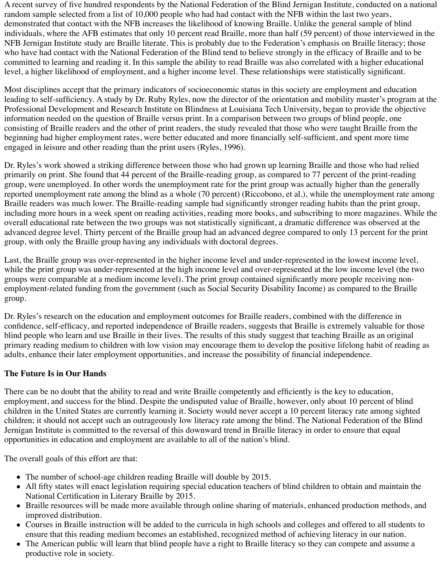A recent survey of five hundred respondents by the National Federation of the Blind Jernigan Institute, conducted on a national random sample selected from a list of 10,000 people who had had contact with the NFB within the last two years, demonstrated that contact with the NFB increases the likelihood of knowing Braille. Unlike the general sample of blind individuals, where the AFB estimates that only 10 percent read Braille, more than half (59 percent) of those interviewed in the NFB Jernigan Institute study are Braille literate. This is probably due to the Federation's emphasis on Braille literacy; those who have had contact with the National Federation of the Blind tend to believe strongly in the efficacy of Braille and to be committed to learning and reading it. In this sample the ability to read Braille was also correlated with a higher educational level, a higher likelihood of employment, and a higher income level. These relationships were statistically significant.

Most disciplines accept that the primary indicators of socioeconomic status in this society are employment and education leading to self-sufficiency. A study by Dr. Ruby Ryles, now the director of the orientation and mobility master's program at the Professional Development and Research Institute on Blindness at Louisiana Tech University, began to provide the objective information needed on the question of Braille versus print. In a comparison between two groups of blind people, one consisting of Braille readers and the other of print readers, the study revealed that those who were taught Braille from the beginning had higher employment rates, were better educated and more financially self-sufficient, and spent more time engaged in leisure and other reading than the print users (Ryles, 1996).

Dr. Ryles's work showed a striking difference between those who had grown up learning Braille and those who had relied primarily on print. She found that 44 percent of the Braille-reading group, as compared to 77 percent of the print-reading group, were unemployed. In other words the unemployment rate for the print group was actually higher than the generally reported unemployment rate among the blind as a whole (70 percent) (Riccobono, et al.), while the unemployment rate among Braille readers was much lower. The Braille-reading sample had significantly stronger reading habits than the print group, including more hours in a week spent on reading activities, reading more books, and subscribing to more magazines. While the overall educational rate between the two groups was not statistically significant, a dramatic difference was observed at the advanced degree level. Thirty percent of the Braille group had an advanced degree compared to only 13 percent for the print group, with only the Braille group having any individuals with doctoral degrees.

Last, the Braille group was over-represented in the higher income level and under-represented in the lowest income level, while the print group was under-represented at the high income level and over-represented at the low income level (the two groups were comparable at a medium income level). The print group contained significantly more people receiving nonemployment-related funding from the government (such as Social Security Disability Income) as compared to the Braille group.

Dr. Ryles's research on the education and employment outcomes for Braille readers, combined with the difference in confidence, self-efficacy, and reported independence of Braille readers, suggests that Braille is extremely valuable for those blind people who learn and use Braille in their lives. The results of this study suggest that teaching Braille as an original primary reading medium to children with low vision may encourage them to develop the positive lifelong habit of reading as adults, enhance their later employment opportunities, and increase the possibility of financial independence.

## **The Future Is in Our Hands**

There can be no doubt that the ability to read and write Braille competently and efficiently is the key to education, employment, and success for the blind. Despite the undisputed value of Braille, however, only about 10 percent of blind children in the United States are currently learning it. Society would never accept a 10 percent literacy rate among sighted children; it should not accept such an outrageously low literacy rate among the blind. The National Federation of the Blind Jernigan Institute is committed to the reversal of this downward trend in Braille literacy in order to ensure that equal opportunities in education and employment are available to all of the nation's blind.

The overall goals of this effort are that:

- The number of school-age children reading Braille will double by 2015.
- All fifty states will enact legislation requiring special education teachers of blind children to obtain and maintain the National Certification in Literary Braille by 2015.
- Braille resources will be made more available through online sharing of materials, enhanced production methods, and improved distribution.
- Courses in Braille instruction will be added to the curricula in high schools and colleges and offered to all students to ensure that this reading medium becomes an established, recognized method of achieving literacy in our nation.
- The American public will learn that blind people have a right to Braille literacy so they can compete and assume a productive role in society.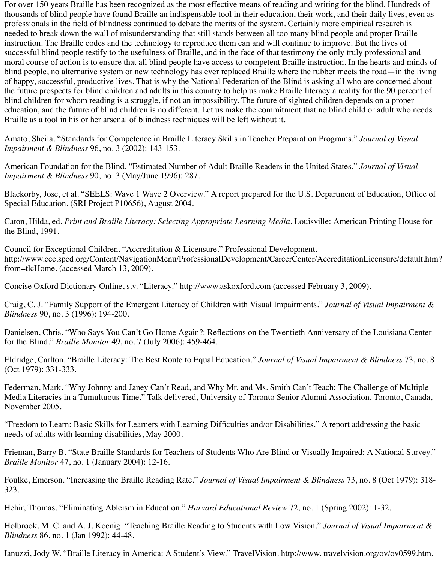For over 150 years Braille has been recognized as the most effective means of reading and writing for the blind. Hundreds of thousands of blind people have found Braille an indispensable tool in their education, their work, and their daily lives, even as professionals in the field of blindness continued to debate the merits of the system. Certainly more empirical research is needed to break down the wall of misunderstanding that still stands between all too many blind people and proper Braille instruction. The Braille codes and the technology to reproduce them can and will continue to improve. But the lives of successful blind people testify to the usefulness of Braille, and in the face of that testimony the only truly professional and moral course of action is to ensure that all blind people have access to competent Braille instruction. In the hearts and minds of blind people, no alternative system or new technology has ever replaced Braille where the rubber meets the road—in the living of happy, successful, productive lives. That is why the National Federation of the Blind is asking all who are concerned about the future prospects for blind children and adults in this country to help us make Braille literacy a reality for the 90 percent of blind children for whom reading is a struggle, if not an impossibility. The future of sighted children depends on a proper education, and the future of blind children is no different. Let us make the commitment that no blind child or adult who needs Braille as a tool in his or her arsenal of blindness techniques will be left without it.

Amato, Sheila. "Standards for Competence in Braille Literacy Skills in Teacher Preparation Programs." *Journal of Visual Impairment & Blindness* 96, no. 3 (2002): 143-153.

American Foundation for the Blind. "Estimated Number of Adult Braille Readers in the United States." *Journal of Visual Impairment & Blindness* 90, no. 3 (May/June 1996): 287.

Blackorby, Jose, et al. "SEELS: Wave 1 Wave 2 Overview." A report prepared for the U.S. Department of Education, Office of Special Education. (SRI Project P10656), August 2004.

Caton, Hilda, ed. *Print and Braille Literacy: Selecting Appropriate Learning Media*. Louisville: American Printing House for the Blind, 1991.

Council for Exceptional Children. "Accreditation & Licensure." Professional Development. http://www.cec.sped.org/Content/NavigationMenu/ProfessionalDevelopment/CareerCenter/AccreditationLicensure/default.htm? from=tlcHome. (accessed March 13, 2009).

Concise Oxford Dictionary Online, s.v. "Literacy." http://www.askoxford.com (accessed February 3, 2009).

Craig, C. J. "Family Support of the Emergent Literacy of Children with Visual Impairments." *Journal of Visual Impairment & Blindness* 90, no. 3 (1996): 194-200.

Danielsen, Chris. "Who Says You Can't Go Home Again?: Reflections on the Twentieth Anniversary of the Louisiana Center for the Blind." *Braille Monitor* 49, no. 7 (July 2006): 459-464.

Eldridge, Carlton. "Braille Literacy: The Best Route to Equal Education." *Journal of Visual Impairment & Blindness* 73, no. 8 (Oct 1979): 331-333.

Federman, Mark. "Why Johnny and Janey Can't Read, and Why Mr. and Ms. Smith Can't Teach: The Challenge of Multiple Media Literacies in a Tumultuous Time." Talk delivered, University of Toronto Senior Alumni Association, Toronto, Canada, November 2005.

"Freedom to Learn: Basic Skills for Learners with Learning Difficulties and/or Disabilities." A report addressing the basic needs of adults with learning disabilities, May 2000.

Frieman, Barry B. "State Braille Standards for Teachers of Students Who Are Blind or Visually Impaired: A National Survey." *Braille Monitor* 47, no. 1 (January 2004): 12-16.

Foulke, Emerson. "Increasing the Braille Reading Rate." *Journal of Visual Impairment & Blindness* 73, no. 8 (Oct 1979): 318- 323.

Hehir, Thomas. "Eliminating Ableism in Education." *Harvard Educational Review* 72, no. 1 (Spring 2002): 1-32.

Holbrook, M. C. and A. J. Koenig. "Teaching Braille Reading to Students with Low Vision." *Journal of Visual Impairment & Blindness* 86, no. 1 (Jan 1992): 44-48.

Ianuzzi, Jody W. "Braille Literacy in America: A Student's View." TravelVision. http://www. travelvision.org/ov/ov0599.htm.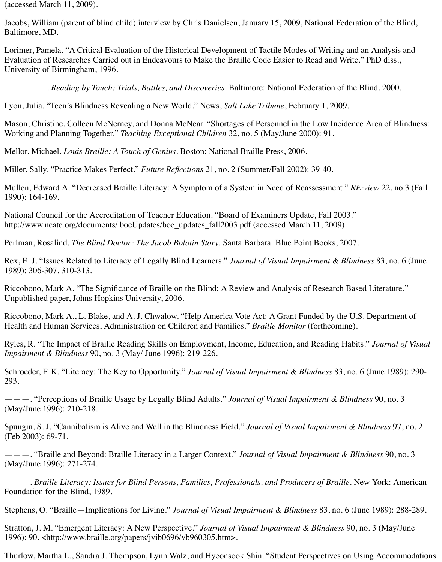(accessed March 11, 2009).

Jacobs, William (parent of blind child) interview by Chris Danielsen, January 15, 2009, National Federation of the Blind, Baltimore, MD.

Lorimer, Pamela. "A Critical Evaluation of the Historical Development of Tactile Modes of Writing and an Analysis and Evaluation of Researches Carried out in Endeavours to Make the Braille Code Easier to Read and Write." PhD diss., University of Birmingham, 1996.

*\_\_\_\_\_\_\_\_\_\_. Reading by Touch: Trials, Battles, and Discoveries*. Baltimore: National Federation of the Blind, 2000.

Lyon, Julia. "Teen's Blindness Revealing a New World," News, *Salt Lake Tribune*, February 1, 2009.

Mason, Christine, Colleen McNerney, and Donna McNear. "Shortages of Personnel in the Low Incidence Area of Blindness: Working and Planning Together." *Teaching Exceptional Children* 32, no. 5 (May/June 2000): 91.

Mellor, Michael. *Louis Braille: A Touch of Genius*. Boston: National Braille Press, 2006.

Miller, Sally. "Practice Makes Perfect." *Future Reflections* 21, no. 2 (Summer/Fall 2002): 39-40.

Mullen, Edward A. "Decreased Braille Literacy: A Symptom of a System in Need of Reassessment." *RE:view* 22, no.3 (Fall 1990): 164-169.

National Council for the Accreditation of Teacher Education. "Board of Examiners Update, Fall 2003." http://www.ncate.org/documents/ boeUpdates/boe\_updates\_fall2003.pdf (accessed March 11, 2009).

Perlman, Rosalind. *The Blind Doctor: The Jacob Bolotin Story*. Santa Barbara: Blue Point Books, 2007.

Rex, E. J. "Issues Related to Literacy of Legally Blind Learners." *Journal of Visual Impairment & Blindness* 83, no. 6 (June 1989): 306-307, 310-313.

Riccobono, Mark A. "The Significance of Braille on the Blind: A Review and Analysis of Research Based Literature." Unpublished paper, Johns Hopkins University, 2006.

Riccobono, Mark A., L. Blake, and A. J. Chwalow. "Help America Vote Act: A Grant Funded by the U.S. Department of Health and Human Services, Administration on Children and Families." *Braille Monitor* (forthcoming).

Ryles, R. "The Impact of Braille Reading Skills on Employment, Income, Education, and Reading Habits." *Journal of Visual Impairment & Blindness* 90, no. 3 (May/ June 1996): 219-226.

Schroeder, F. K. "Literacy: The Key to Opportunity." *Journal of Visual Impairment & Blindness* 83, no. 6 (June 1989): 290- 293.

———. "Perceptions of Braille Usage by Legally Blind Adults." *Journal of Visual Impairment & Blindness* 90, no. 3 (May/June 1996): 210-218.

Spungin, S. J. "Cannibalism is Alive and Well in the Blindness Field." *Journal of Visual Impairment & Blindness* 97, no. 2 (Feb 2003): 69-71.

———. "Braille and Beyond: Braille Literacy in a Larger Context." *Journal of Visual Impairment & Blindness* 90, no. 3 (May/June 1996): 271-274.

———. *Braille Literacy: Issues for Blind Persons, Families, Professionals, and Producers of Braille*. New York: American Foundation for the Blind, 1989.

Stephens, O. "Braille—Implications for Living." *Journal of Visual Impairment & Blindness* 83, no. 6 (June 1989): 288-289.

Stratton, J. M. "Emergent Literacy: A New Perspective." *Journal of Visual Impairment & Blindness* 90, no. 3 (May/June 1996): 90. <http://www.braille.org/papers/jvib0696/vb960305.htm>.

Thurlow, Martha L., Sandra J. Thompson, Lynn Walz, and Hyeonsook Shin. "Student Perspectives on Using Accommodations